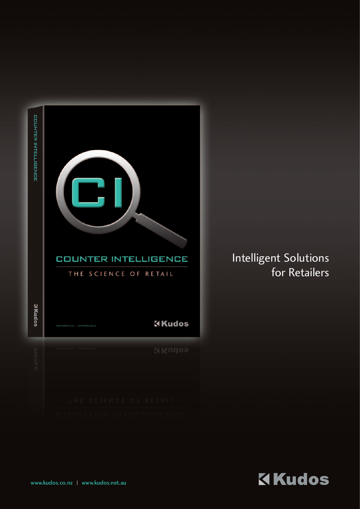| COUNTER INTELLIGENCE | <b>COUNTER INTELLIGENCE</b><br>THE SCIENCE OF RETAIL |                |
|----------------------|------------------------------------------------------|----------------|
|                      |                                                      |                |
| <b>Sopring</b>       |                                                      | <b>X</b> Kudos |
| ikngoa               |                                                      | <b>NKudos</b>  |

# Intelligent Solutions for Retailers

KKudos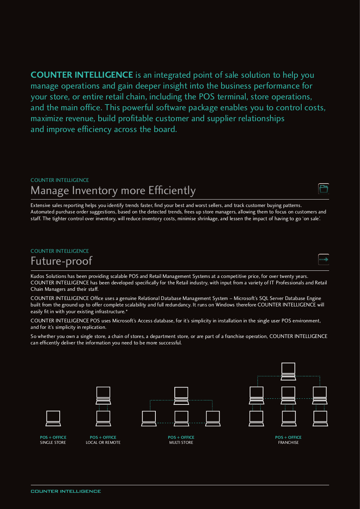**COUNTER INTELLIGENCE** is an integrated point of sale solution to help you manage operations and gain deeper insight into the business performance for your store, or entire retail chain, including the POS terminal, store operations, and the main office. This powerful software package enables you to control costs, maximize revenue, build profitable customer and supplier relationships and improve efficiency across the board.

## COUNTER INTELLIGENCE Manage Inventory more Efficiently

Extensive sales reporting helps you identify trends faster, find your best and worst sellers, and track customer buying patterns. Automated purchase order suggestions, based on the detected trends, frees up store managers, allowing them to focus on customers and staff. The tighter control over inventory, will reduce inventory costs, minimise shrinkage, and lessen the impact of having to go 'on sale'.

#### COUNTER INTELLIGENCE

## Future-proof

Kudos Solutions has been providing scalable POS and Retail Management Systems at a competitive price, for over twenty years. COUNTER INTELLIGENCE has been developed specifically for the Retail industry, with input from a variety of IT Professionals and Retail Chain Managers and their staff.

COUNTER INTELLIGENCE Office uses a genuine Relational Database Management System - Microsoft's SQL Server Database Engine built from the ground up to offer complete scalability and full redundancy. It runs on Windows therefore COUNTER INTELLIGENCE will easily fit in with your existing infrastructure.\*

COUNTER INTELLIGENCE POS uses Microsoft's Access database, for it's simplicity in installation in the single user POS environment, and for it's simplicity in replication.

So whether you own a single store, a chain of stores, a department store, or are part of a franchise operation, COUNTER INTELLIGENCE can efficently deliver the information you need to be more successful.

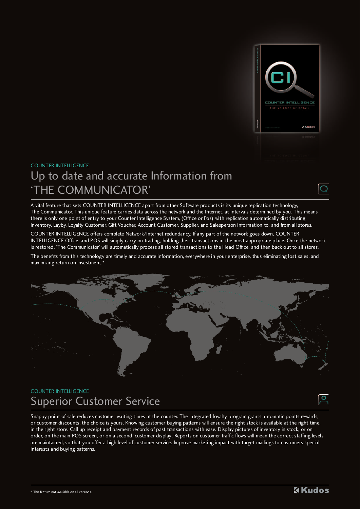

## COUNTER INTELLIGENCE Up to date and accurate Information from 'THE COMMUNICATOR'



A vital feature that sets COUNTER INTELLIGENCE apart from other Software products is its unique replication technology, The Communicator. This unique feature carries data across the network and the Internet, at intervals determined by you. This means there is only one point of entry to your Counter Intelligence System, (Office or Pos) with replication automatically distributing Inventory, Layby, Loyalty Customer, Gift Voucher, Account Customer, Supplier, and Salesperson information to, and from all stores.

COUNTER INTELLIGENCE offers complete Network/Internet redundancy. If any part of the network goes down, COUNTER INTELLIGENCE Office, and POS will simply carry on trading, holding their transactions in the most appropriate place. Once the network is restored, 'The Communicator' will automatically process all stored transactions to the Head Office, and then back out to all stores.

The benefits from this technology are timely and accurate information, everywhere in your enterprise, thus eliminating lost sales, and maximizing return on investment.\*



### COUNTER INTELLIGENCE Superior Customer Service

Snappy point of sale reduces customer waiting times at the counter. The integrated loyalty program grants automatic points rewards, or customer discounts, the choice is yours. Knowing customer buying patterns will ensure the right stock is available at the right time, in the right store. Call up receipt and payment records of past transactions with ease. Display pictures of inventory in stock, or on order, on the main POS screen, or on a second 'customer display'. Reports on customer traffic flows will mean the correct staffing levels are maintained, so that you offer a high level of customer service. Improve marketing impact with target mailings to customers special interests and buying patterns.